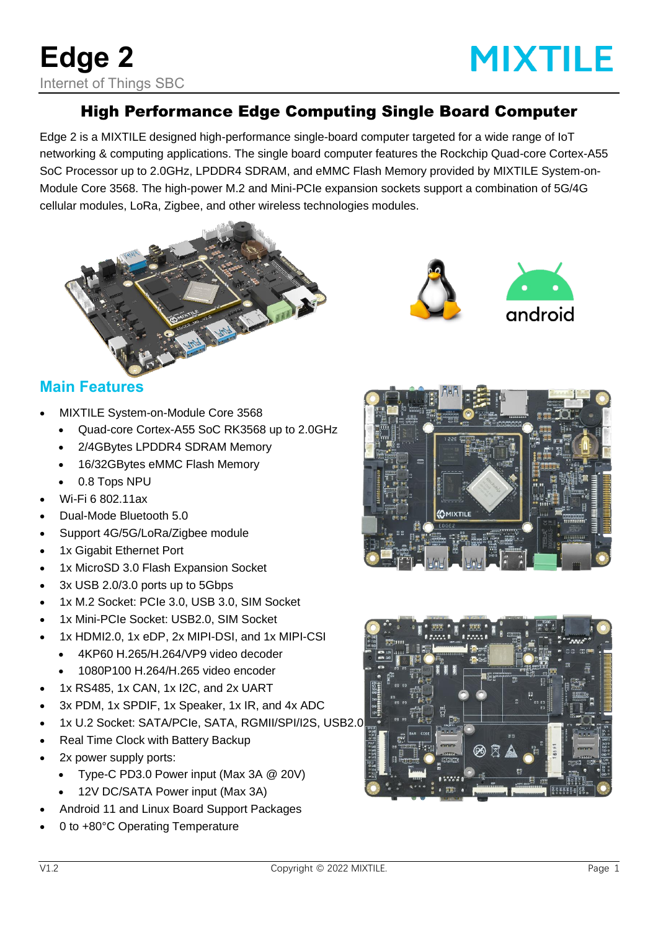# **MIXTILE**

### High Performance Edge Computing Single Board Computer

Edge 2 is a MIXTILE designed high-performance single-board computer targeted for a wide range of IoT networking & computing applications. The single board computer features the Rockchip Quad-core Cortex-A55 SoC Processor up to 2.0GHz, LPDDR4 SDRAM, and eMMC Flash Memory provided by MIXTILE System-on-Module Core 3568. The high-power M.2 and Mini-PCIe expansion sockets support a combination of 5G/4G cellular modules, LoRa, Zigbee, and other wireless technologies modules.





#### **Main Features**

- MIXTILE System-on-Module Core 3568
	- Quad-core Cortex-A55 SoC RK3568 up to 2.0GHz
	- 2/4GBytes LPDDR4 SDRAM Memory
	- 16/32GBytes eMMC Flash Memory
	- 0.8 Tops NPU
- Wi-Fi 6 802.11ax
- Dual-Mode Bluetooth 5.0
- Support 4G/5G/LoRa/Zigbee module
- 1x Gigabit Ethernet Port
- 1x MicroSD 3.0 Flash Expansion Socket
- 3x USB 2.0/3.0 ports up to 5Gbps
- 1x M.2 Socket: PCIe 3.0, USB 3.0, SIM Socket
- 1x Mini-PCIe Socket: USB2.0, SIM Socket
- 1x HDMI2.0, 1x eDP, 2x MIPI-DSI, and 1x MIPI-CSI
- 4KP60 H.265/H.264/VP9 video decoder
	- 1080P100 H.264/H.265 video encoder
- 1x RS485, 1x CAN, 1x I2C, and 2x UART
- 3x PDM, 1x SPDIF, 1x Speaker, 1x IR, and 4x ADC
- 1x U.2 Socket: SATA/PCIe, SATA, RGMII/SPI/I2S, USB2.0
- Real Time Clock with Battery Backup
- 2x power supply ports:
	- Type-C PD3.0 Power input (Max 3A @ 20V)
	- 12V DC/SATA Power input (Max 3A)
- Android 11 and Linux Board Support Packages
- 0 to +80°C Operating Temperature